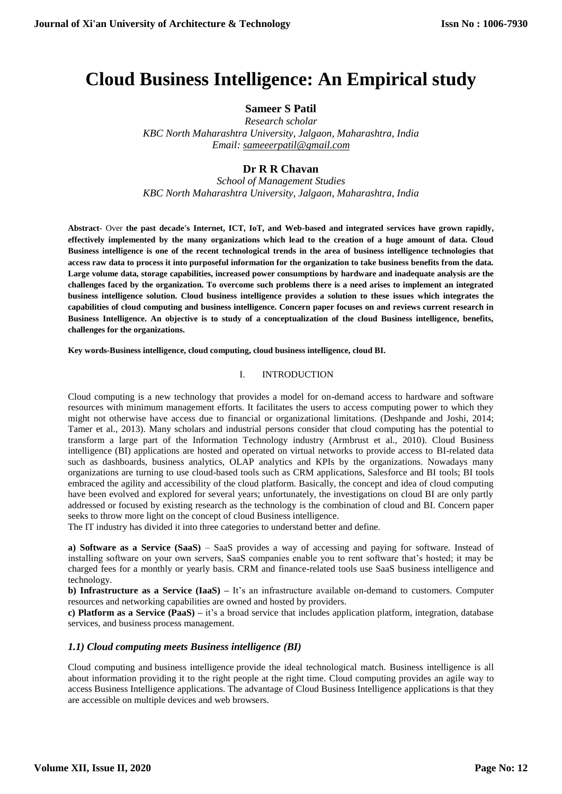# **Cloud Business Intelligence: An Empirical study**

## **Sameer S Patil**

*Research scholar KBC North Maharashtra University, Jalgaon, Maharashtra, India Email: [sameeerpatil@gmail.com](mailto:sameeerpatil@gmail.com)*

## **Dr R R Chavan**

*School of Management Studies KBC North Maharashtra University, Jalgaon, Maharashtra, India*

**Abstract**- Over **the past decade's Internet, ICT, IoT, and Web-based and integrated services have grown rapidly, effectively implemented by the many organizations which lead to the creation of a huge amount of data. Cloud Business intelligence is one of the recent technological trends in the area of business intelligence technologies that access raw data to process it into purposeful information for the organization to take business benefits from the data. Large volume data, storage capabilities, increased power consumptions by hardware and inadequate analysis are the challenges faced by the organization. To overcome such problems there is a need arises to implement an integrated business intelligence solution. Cloud business intelligence provides a solution to these issues which integrates the capabilities of cloud computing and business intelligence. Concern paper focuses on and reviews current research in Business Intelligence. An objective is to study of a conceptualization of the cloud Business intelligence, benefits, challenges for the organizations.** 

**Key words-Business intelligence, cloud computing, cloud business intelligence, cloud BI.**

#### I. INTRODUCTION

Cloud computing is a new technology that provides a model for on-demand access to hardware and software resources with minimum management efforts. It facilitates the users to access computing power to which they might not otherwise have access due to financial or organizational limitations. (Deshpande and Joshi, 2014; Tamer et al., 2013). Many scholars and industrial persons consider that cloud computing has the potential to transform a large part of the Information Technology industry (Armbrust et al., 2010). Cloud Business intelligence (BI) applications are hosted and operated on virtual networks to provide access to BI-related data such as dashboards, business analytics, OLAP analytics and KPIs by the organizations. Nowadays many organizations are turning to use cloud-based tools such as CRM applications, Salesforce and BI tools; BI tools embraced the agility and accessibility of the cloud platform. Basically, the concept and idea of cloud computing have been evolved and explored for several years; unfortunately, the investigations on cloud BI are only partly addressed or focused by existing research as the technology is the combination of cloud and BI. Concern paper seeks to throw more light on the concept of cloud Business intelligence.

The IT industry has divided it into three categories to understand better and define.

**a) Software as a Service (SaaS)** – SaaS provides a way of accessing and paying for software. Instead of installing software on your own servers, SaaS companies enable you to rent software that's hosted; it may be charged fees for a monthly or yearly basis. CRM and finance-related tools use SaaS business intelligence and technology.

**b) Infrastructure as a Service (IaaS)** – It's an infrastructure available on-demand to customers. Computer resources and networking capabilities are owned and hosted by providers.

**c) Platform as a Service (PaaS) –** it's a broad service that includes application platform, integration, database services, and business process management.

#### *1.1) Cloud computing meets Business intelligence (BI)*

Cloud computing and business intelligence provide the ideal technological match. Business intelligence is all about information providing it to the right people at the right time. Cloud computing provides an agile way to access Business Intelligence applications. The advantage of Cloud Business Intelligence applications is that they are accessible on multiple devices and web browsers.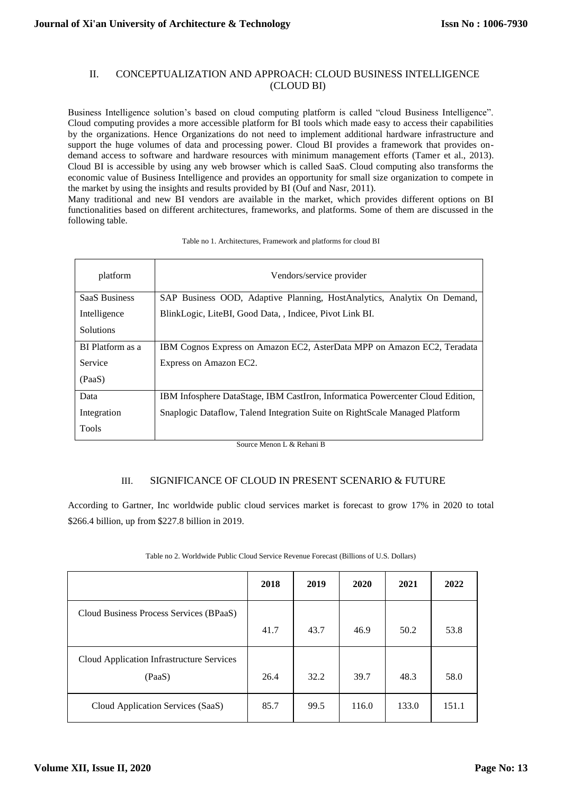#### II. CONCEPTUALIZATION AND APPROACH: CLOUD BUSINESS INTELLIGENCE (CLOUD BI)

Business Intelligence solution's based on cloud computing platform is called "cloud Business Intelligence". Cloud computing provides a more accessible platform for BI tools which made easy to access their capabilities by the organizations. Hence Organizations do not need to implement additional hardware infrastructure and support the huge volumes of data and processing power. Cloud BI provides a framework that provides ondemand access to software and hardware resources with minimum management efforts (Tamer et al., 2013). Cloud BI is accessible by using any web browser which is called SaaS. Cloud computing also transforms the economic value of Business Intelligence and provides an opportunity for small size organization to compete in the market by using the insights and results provided by BI (Ouf and Nasr, 2011).

Many traditional and new BI vendors are available in the market, which provides different options on BI functionalities based on different architectures, frameworks, and platforms. Some of them are discussed in the following table.

| platform             | Vendors/service provider                                                       |  |  |  |  |  |
|----------------------|--------------------------------------------------------------------------------|--|--|--|--|--|
| <b>SaaS Business</b> | SAP Business OOD, Adaptive Planning, HostAnalytics, Analytix On Demand,        |  |  |  |  |  |
| Intelligence         | BlinkLogic, LiteBI, Good Data, , Indicee, Pivot Link BI.                       |  |  |  |  |  |
| <b>Solutions</b>     |                                                                                |  |  |  |  |  |
| BI Platform as a     | IBM Cognos Express on Amazon EC2, AsterData MPP on Amazon EC2, Teradata        |  |  |  |  |  |
| Service              | Express on Amazon EC2.                                                         |  |  |  |  |  |
| (PaaS)               |                                                                                |  |  |  |  |  |
| Data                 | IBM Infosphere DataStage, IBM CastIron, Informatica Powercenter Cloud Edition, |  |  |  |  |  |
| Integration          | Snaplogic Dataflow, Talend Integration Suite on RightScale Managed Platform    |  |  |  |  |  |
| <b>Tools</b>         |                                                                                |  |  |  |  |  |

Source Menon L & Rehani B

### III. SIGNIFICANCE OF CLOUD IN PRESENT SCENARIO & FUTURE

According to Gartner, Inc worldwide public cloud services market is forecast to grow 17% in 2020 to total \$266.4 billion, up from \$227.8 billion in 2019.

|                                           | 2018 | 2019 | 2020  | 2021  | 2022  |
|-------------------------------------------|------|------|-------|-------|-------|
| Cloud Business Process Services (BPaaS)   |      |      |       |       |       |
|                                           | 41.7 | 43.7 | 46.9  | 50.2  | 53.8  |
| Cloud Application Infrastructure Services |      |      |       |       |       |
| (PaaS)                                    | 26.4 | 32.2 | 39.7  | 48.3  | 58.0  |
| Cloud Application Services (SaaS)         | 85.7 | 99.5 | 116.0 | 133.0 | 151.1 |

Table no 2. Worldwide Public Cloud Service Revenue Forecast (Billions of U.S. Dollars)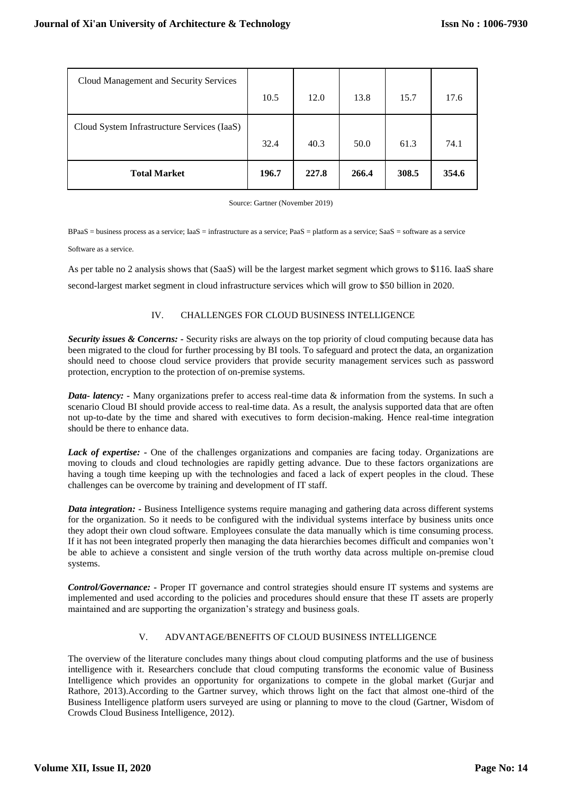| <b>Total Market</b>                         | 196.7 | 227.8 | 266.4 | 308.5 | 354.6 |
|---------------------------------------------|-------|-------|-------|-------|-------|
| Cloud System Infrastructure Services (IaaS) | 32.4  | 40.3  | 50.0  | 61.3  | 74.1  |
| Cloud Management and Security Services      | 10.5  | 12.0  | 13.8  | 15.7  | 17.6  |

Source: Gartner (November 2019)

BPaaS = business process as a service; IaaS = infrastructure as a service; PaaS = platform as a service; SaaS = software as a service

Software as a service.

As per table no 2 analysis shows that (SaaS) will be the largest market segment which grows to \$116. IaaS share second-largest market segment in cloud infrastructure services which will grow to \$50 billion in 2020.

#### IV. CHALLENGES FOR CLOUD BUSINESS INTELLIGENCE

*Security issues & Concerns: -* Security risks are always on the top priority of cloud computing because data has been migrated to the cloud for further processing by BI tools. To safeguard and protect the data, an organization should need to choose cloud service providers that provide security management services such as password protection, encryption to the protection of on-premise systems.

*Data- latency: -* Many organizations prefer to access real-time data & information from the systems. In such a scenario Cloud BI should provide access to real-time data. As a result, the analysis supported data that are often not up-to-date by the time and shared with executives to form decision-making. Hence real-time integration should be there to enhance data.

*Lack of expertise: -* One of the challenges organizations and companies are facing today. Organizations are moving to clouds and cloud technologies are rapidly getting advance. Due to these factors organizations are having a tough time keeping up with the technologies and faced a lack of expert peoples in the cloud. These challenges can be overcome by training and development of IT staff.

*Data integration: -* Business Intelligence systems require managing and gathering data across different systems for the organization. So it needs to be configured with the individual systems interface by business units once they adopt their own cloud software. Employees consulate the data manually which is time consuming process. If it has not been integrated properly then managing the data hierarchies becomes difficult and companies won't be able to achieve a consistent and single version of the truth worthy data across multiple on-premise cloud systems.

*Control/Governance: -* Proper IT governance and control strategies should ensure IT systems and systems are implemented and used according to the policies and procedures should ensure that these IT assets are properly maintained and are supporting the organization's strategy and business goals.

### V. ADVANTAGE/BENEFITS OF CLOUD BUSINESS INTELLIGENCE

The overview of the literature concludes many things about cloud computing platforms and the use of business intelligence with it. Researchers conclude that cloud computing transforms the economic value of Business Intelligence which provides an opportunity for organizations to compete in the global market (Gurjar and Rathore, 2013).According to the Gartner survey, which throws light on the fact that almost one-third of the Business Intelligence platform users surveyed are using or planning to move to the cloud (Gartner, Wisdom of Crowds Cloud Business Intelligence, 2012).